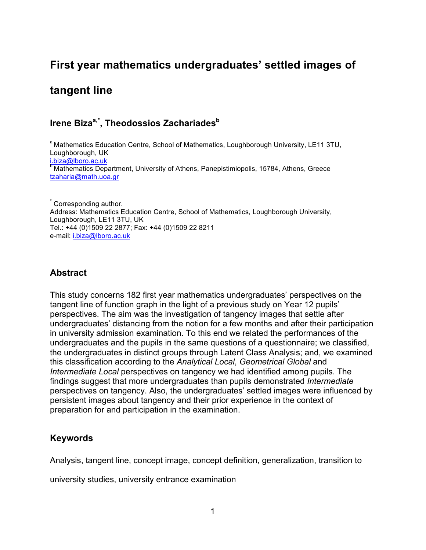# **First year mathematics undergraduates' settled images of**

# **tangent line**

## Irene Biza<sup>a,\*</sup>, Theodossios Zachariades<sup>b</sup>

<sup>a</sup> Mathematics Education Centre, School of Mathematics, Loughborough University, LE11 3TU, Loughborough, UK i.biza@lboro.ac.uk<br><sup>b</sup> Mathematics Department, University of Athens, Panepistimiopolis, 15784, Athens, Greece tzaharia@math.uoa.gr

 $\hat{ }$  Corresponding author. Address: Mathematics Education Centre, School of Mathematics, Loughborough University, Loughborough, LE11 3TU, UK Tel.: +44 (0)1509 22 2877; Fax: +44 (0)1509 22 8211 e-mail: i.biza@lboro.ac.uk

## **Abstract**

This study concerns 182 first year mathematics undergraduates' perspectives on the tangent line of function graph in the light of a previous study on Year 12 pupils' perspectives. The aim was the investigation of tangency images that settle after undergraduates' distancing from the notion for a few months and after their participation in university admission examination. To this end we related the performances of the undergraduates and the pupils in the same questions of a questionnaire; we classified, the undergraduates in distinct groups through Latent Class Analysis; and, we examined this classification according to the *Analytical Local*, *Geometrical Global* and *Intermediate Local* perspectives on tangency we had identified among pupils. The findings suggest that more undergraduates than pupils demonstrated *Intermediate* perspectives on tangency. Also, the undergraduates' settled images were influenced by persistent images about tangency and their prior experience in the context of preparation for and participation in the examination.

### **Keywords**

Analysis, tangent line, concept image, concept definition, generalization, transition to

university studies, university entrance examination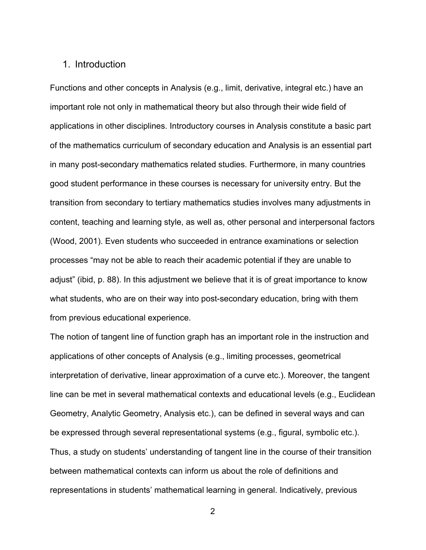#### 1. Introduction

Functions and other concepts in Analysis (e.g., limit, derivative, integral etc.) have an important role not only in mathematical theory but also through their wide field of applications in other disciplines. Introductory courses in Analysis constitute a basic part of the mathematics curriculum of secondary education and Analysis is an essential part in many post-secondary mathematics related studies. Furthermore, in many countries good student performance in these courses is necessary for university entry. But the transition from secondary to tertiary mathematics studies involves many adjustments in content, teaching and learning style, as well as, other personal and interpersonal factors (Wood, 2001). Even students who succeeded in entrance examinations or selection processes "may not be able to reach their academic potential if they are unable to adjust" (ibid, p. 88). In this adjustment we believe that it is of great importance to know what students, who are on their way into post-secondary education, bring with them from previous educational experience.

The notion of tangent line of function graph has an important role in the instruction and applications of other concepts of Analysis (e.g., limiting processes, geometrical interpretation of derivative, linear approximation of a curve etc.). Moreover, the tangent line can be met in several mathematical contexts and educational levels (e.g., Euclidean Geometry, Analytic Geometry, Analysis etc.), can be defined in several ways and can be expressed through several representational systems (e.g., figural, symbolic etc.). Thus, a study on students' understanding of tangent line in the course of their transition between mathematical contexts can inform us about the role of definitions and representations in students' mathematical learning in general. Indicatively, previous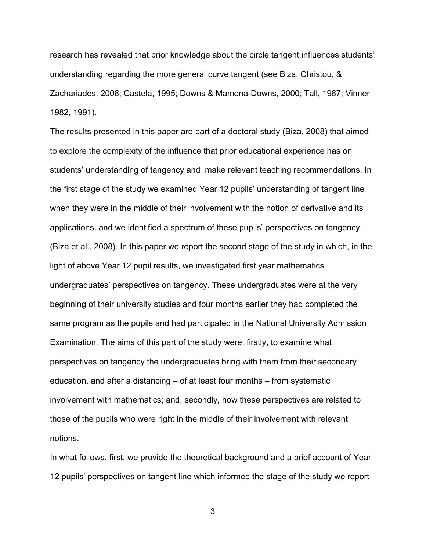research has revealed that prior knowledge about the circle tangent influences students' understanding regarding the more general curve tangent (see Biza, Christou, & Zachariades, 2008; Castela, 1995; Downs & Mamona-Downs, 2000; Tall, 1987; Vinner 1982, 1991).

The results presented in this paper are part of a doctoral study (Biza, 2008) that aimed to explore the complexity of the influence that prior educational experience has on students' understanding of tangency and make relevant teaching recommendations. In the first stage of the study we examined Year 12 pupils' understanding of tangent line when they were in the middle of their involvement with the notion of derivative and its applications, and we identified a spectrum of these pupils' perspectives on tangency (Biza et al., 2008). In this paper we report the second stage of the study in which, in the light of above Year 12 pupil results, we investigated first year mathematics undergraduates' perspectives on tangency. These undergraduates were at the very beginning of their university studies and four months earlier they had completed the same program as the pupils and had participated in the National University Admission Examination. The aims of this part of the study were, firstly, to examine what perspectives on tangency the undergraduates bring with them from their secondary education, and after a distancing – of at least four months – from systematic involvement with mathematics; and, secondly, how these perspectives are related to those of the pupils who were right in the middle of their involvement with relevant notions.

In what follows, first, we provide the theoretical background and a brief account of Year 12 pupils' perspectives on tangent line which informed the stage of the study we report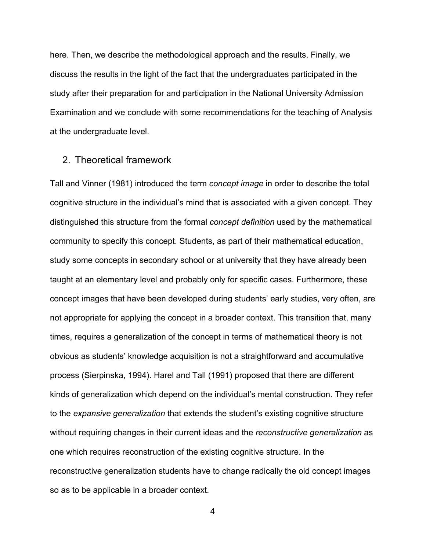here. Then, we describe the methodological approach and the results. Finally, we discuss the results in the light of the fact that the undergraduates participated in the study after their preparation for and participation in the National University Admission Examination and we conclude with some recommendations for the teaching of Analysis at the undergraduate level.

#### 2. Theoretical framework

Tall and Vinner (1981) introduced the term *concept image* in order to describe the total cognitive structure in the individual's mind that is associated with a given concept. They distinguished this structure from the formal *concept definition* used by the mathematical community to specify this concept. Students, as part of their mathematical education, study some concepts in secondary school or at university that they have already been taught at an elementary level and probably only for specific cases. Furthermore, these concept images that have been developed during students' early studies, very often, are not appropriate for applying the concept in a broader context. This transition that, many times, requires a generalization of the concept in terms of mathematical theory is not obvious as students' knowledge acquisition is not a straightforward and accumulative process (Sierpinska, 1994). Harel and Tall (1991) proposed that there are different kinds of generalization which depend on the individual's mental construction. They refer to the *expansive generalization* that extends the student's existing cognitive structure without requiring changes in their current ideas and the *reconstructive generalization* as one which requires reconstruction of the existing cognitive structure. In the reconstructive generalization students have to change radically the old concept images so as to be applicable in a broader context.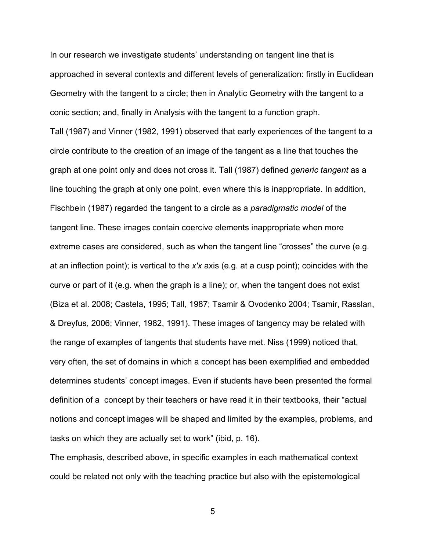In our research we investigate students' understanding on tangent line that is approached in several contexts and different levels of generalization: firstly in Euclidean Geometry with the tangent to a circle; then in Analytic Geometry with the tangent to a conic section; and, finally in Analysis with the tangent to a function graph. Tall (1987) and Vinner (1982, 1991) observed that early experiences of the tangent to a

circle contribute to the creation of an image of the tangent as a line that touches the graph at one point only and does not cross it. Tall (1987) defined *generic tangent* as a line touching the graph at only one point, even where this is inappropriate. In addition, Fischbein (1987) regarded the tangent to a circle as a *paradigmatic model* of the tangent line. These images contain coercive elements inappropriate when more extreme cases are considered, such as when the tangent line "crosses" the curve (e.g. at an inflection point); is vertical to the *x′x* axis (e.g. at a cusp point); coincides with the curve or part of it (e.g. when the graph is a line); or, when the tangent does not exist (Biza et al. 2008; Castela, 1995; Tall, 1987; Tsamir & Ovodenko 2004; Tsamir, Rasslan, & Dreyfus, 2006; Vinner, 1982, 1991). These images of tangency may be related with the range of examples of tangents that students have met. Niss (1999) noticed that, very often, the set of domains in which a concept has been exemplified and embedded determines students' concept images. Even if students have been presented the formal definition of a concept by their teachers or have read it in their textbooks, their "actual notions and concept images will be shaped and limited by the examples, problems, and tasks on which they are actually set to work" (ibid, p. 16).

The emphasis, described above, in specific examples in each mathematical context could be related not only with the teaching practice but also with the epistemological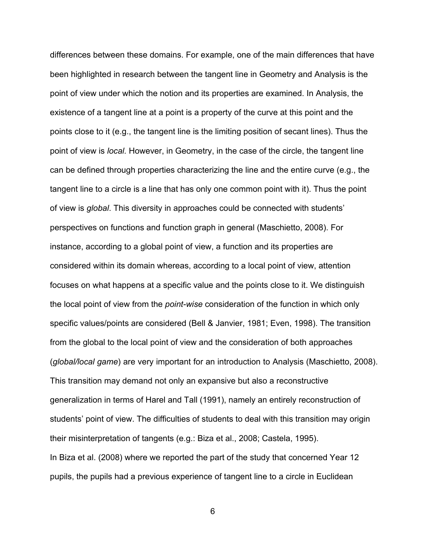differences between these domains. For example, one of the main differences that have been highlighted in research between the tangent line in Geometry and Analysis is the point of view under which the notion and its properties are examined. In Analysis, the existence of a tangent line at a point is a property of the curve at this point and the points close to it (e.g., the tangent line is the limiting position of secant lines). Thus the point of view is *local.* However, in Geometry, in the case of the circle, the tangent line can be defined through properties characterizing the line and the entire curve (e.g., the tangent line to a circle is a line that has only one common point with it). Thus the point of view is *global*. This diversity in approaches could be connected with students' perspectives on functions and function graph in general (Maschietto, 2008). For instance, according to a global point of view, a function and its properties are considered within its domain whereas, according to a local point of view, attention focuses on what happens at a specific value and the points close to it. We distinguish the local point of view from the *point-wise* consideration of the function in which only specific values/points are considered (Bell & Janvier, 1981; Even, 1998). The transition from the global to the local point of view and the consideration of both approaches (*global/local game*) are very important for an introduction to Analysis (Maschietto, 2008). This transition may demand not only an expansive but also a reconstructive generalization in terms of Harel and Tall (1991), namely an entirely reconstruction of students' point of view. The difficulties of students to deal with this transition may origin their misinterpretation of tangents (e.g.: Biza et al., 2008; Castela, 1995). In Biza et al. (2008) where we reported the part of the study that concerned Year 12 pupils, the pupils had a previous experience of tangent line to a circle in Euclidean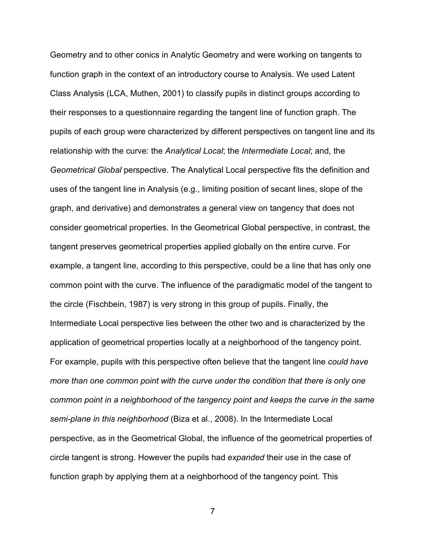Geometry and to other conics in Analytic Geometry and were working on tangents to function graph in the context of an introductory course to Analysis. We used Latent Class Analysis (LCA, Muthen, 2001) to classify pupils in distinct groups according to their responses to a questionnaire regarding the tangent line of function graph. The pupils of each group were characterized by different perspectives on tangent line and its relationship with the curve: the *Analytical Local*; the *Intermediate Local*; and, the *Geometrical Global* perspective. The Analytical Local perspective fits the definition and uses of the tangent line in Analysis (e.g., limiting position of secant lines, slope of the graph, and derivative) and demonstrates a general view on tangency that does not consider geometrical properties. In the Geometrical Global perspective, in contrast, the tangent preserves geometrical properties applied globally on the entire curve. For example, a tangent line, according to this perspective, could be a line that has only one common point with the curve. The influence of the paradigmatic model of the tangent to the circle (Fischbein, 1987) is very strong in this group of pupils. Finally, the Intermediate Local perspective lies between the other two and is characterized by the application of geometrical properties locally at a neighborhood of the tangency point. For example, pupils with this perspective often believe that the tangent line *could have more than one common point with the curve under the condition that there is only one common point in a neighborhood of the tangency point and keeps the curve in the same semi-plane in this neighborhood* (Biza et al., 2008). In the Intermediate Local perspective, as in the Geometrical Global, the influence of the geometrical properties of circle tangent is strong. However the pupils had *expanded* their use in the case of function graph by applying them at a neighborhood of the tangency point. This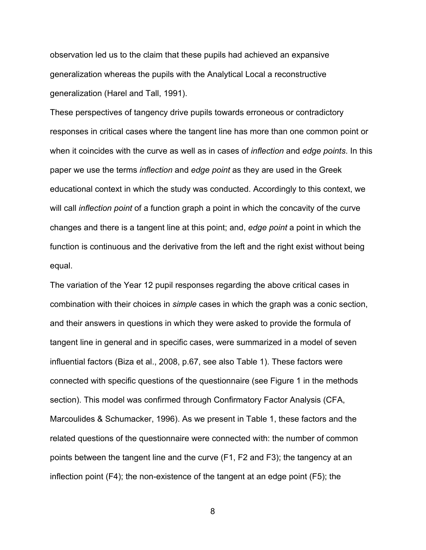observation led us to the claim that these pupils had achieved an expansive generalization whereas the pupils with the Analytical Local a reconstructive generalization (Harel and Tall, 1991).

These perspectives of tangency drive pupils towards erroneous or contradictory responses in critical cases where the tangent line has more than one common point or when it coincides with the curve as well as in cases of *inflection* and *edge points*. In this paper we use the terms *inflection* and *edge point* as they are used in the Greek educational context in which the study was conducted. Accordingly to this context, we will call *inflection point* of a function graph a point in which the concavity of the curve changes and there is a tangent line at this point; and, *edge point* a point in which the function is continuous and the derivative from the left and the right exist without being equal.

The variation of the Year 12 pupil responses regarding the above critical cases in combination with their choices in *simple* cases in which the graph was a conic section, and their answers in questions in which they were asked to provide the formula of tangent line in general and in specific cases, were summarized in a model of seven influential factors (Biza et al., 2008, p.67, see also Table 1). These factors were connected with specific questions of the questionnaire (see Figure 1 in the methods section). This model was confirmed through Confirmatory Factor Analysis (CFA, Marcoulides & Schumacker, 1996). As we present in Table 1, these factors and the related questions of the questionnaire were connected with: the number of common points between the tangent line and the curve (F1, F2 and F3); the tangency at an inflection point (F4); the non-existence of the tangent at an edge point (F5); the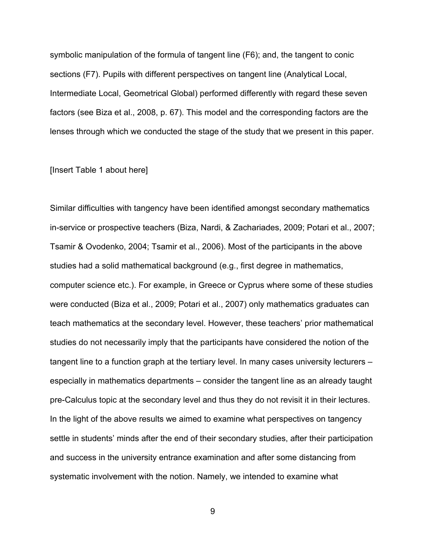symbolic manipulation of the formula of tangent line (F6); and, the tangent to conic sections (F7). Pupils with different perspectives on tangent line (Analytical Local, Intermediate Local, Geometrical Global) performed differently with regard these seven factors (see Biza et al., 2008, p. 67). This model and the corresponding factors are the lenses through which we conducted the stage of the study that we present in this paper.

#### [Insert Table 1 about here]

Similar difficulties with tangency have been identified amongst secondary mathematics in-service or prospective teachers (Biza, Nardi, & Zachariades, 2009; Potari et al., 2007; Tsamir & Ovodenko, 2004; Tsamir et al., 2006). Most of the participants in the above studies had a solid mathematical background (e.g., first degree in mathematics, computer science etc.). For example, in Greece or Cyprus where some of these studies were conducted (Biza et al., 2009; Potari et al., 2007) only mathematics graduates can teach mathematics at the secondary level. However, these teachers' prior mathematical studies do not necessarily imply that the participants have considered the notion of the tangent line to a function graph at the tertiary level. In many cases university lecturers – especially in mathematics departments – consider the tangent line as an already taught pre-Calculus topic at the secondary level and thus they do not revisit it in their lectures. In the light of the above results we aimed to examine what perspectives on tangency settle in students' minds after the end of their secondary studies, after their participation and success in the university entrance examination and after some distancing from systematic involvement with the notion. Namely, we intended to examine what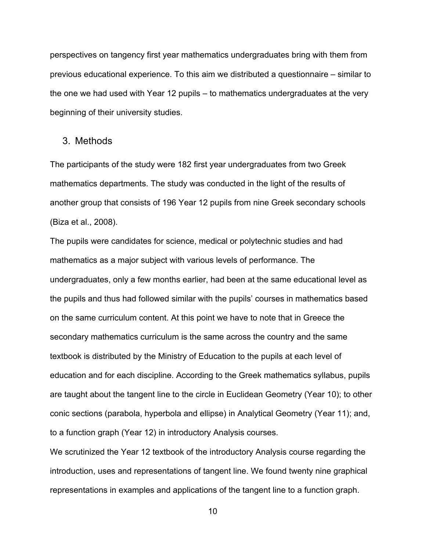perspectives on tangency first year mathematics undergraduates bring with them from previous educational experience. To this aim we distributed a questionnaire – similar to the one we had used with Year 12 pupils – to mathematics undergraduates at the very beginning of their university studies.

#### 3. Methods

The participants of the study were 182 first year undergraduates from two Greek mathematics departments. The study was conducted in the light of the results of another group that consists of 196 Year 12 pupils from nine Greek secondary schools (Biza et al., 2008).

The pupils were candidates for science, medical or polytechnic studies and had mathematics as a major subject with various levels of performance. The undergraduates, only a few months earlier, had been at the same educational level as the pupils and thus had followed similar with the pupils' courses in mathematics based on the same curriculum content. At this point we have to note that in Greece the secondary mathematics curriculum is the same across the country and the same textbook is distributed by the Ministry of Education to the pupils at each level of education and for each discipline. According to the Greek mathematics syllabus, pupils are taught about the tangent line to the circle in Euclidean Geometry (Year 10); to other conic sections (parabola, hyperbola and ellipse) in Analytical Geometry (Year 11); and, to a function graph (Year 12) in introductory Analysis courses.

We scrutinized the Year 12 textbook of the introductory Analysis course regarding the introduction, uses and representations of tangent line. We found twenty nine graphical representations in examples and applications of the tangent line to a function graph.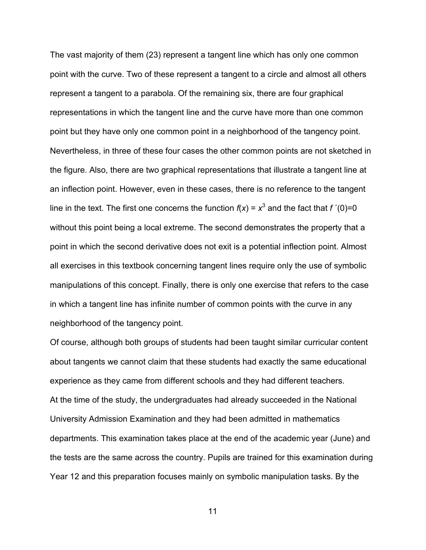The vast majority of them (23) represent a tangent line which has only one common point with the curve. Two of these represent a tangent to a circle and almost all others represent a tangent to a parabola. Of the remaining six, there are four graphical representations in which the tangent line and the curve have more than one common point but they have only one common point in a neighborhood of the tangency point. Nevertheless, in three of these four cases the other common points are not sketched in the figure. Also, there are two graphical representations that illustrate a tangent line at an inflection point. However, even in these cases, there is no reference to the tangent line in the text. The first one concerns the function  $f(x) = x^3$  and the fact that  $f'(0)=0$ without this point being a local extreme. The second demonstrates the property that a point in which the second derivative does not exit is a potential inflection point. Almost all exercises in this textbook concerning tangent lines require only the use of symbolic manipulations of this concept. Finally, there is only one exercise that refers to the case in which a tangent line has infinite number of common points with the curve in any neighborhood of the tangency point.

Of course, although both groups of students had been taught similar curricular content about tangents we cannot claim that these students had exactly the same educational experience as they came from different schools and they had different teachers. At the time of the study, the undergraduates had already succeeded in the National University Admission Examination and they had been admitted in mathematics departments. This examination takes place at the end of the academic year (June) and the tests are the same across the country. Pupils are trained for this examination during Year 12 and this preparation focuses mainly on symbolic manipulation tasks. By the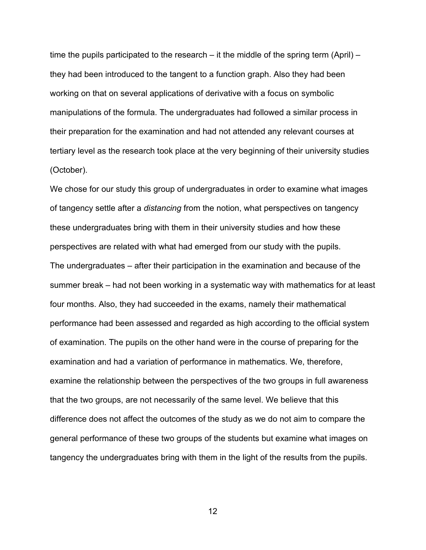time the pupils participated to the research – it the middle of the spring term (April) – they had been introduced to the tangent to a function graph. Also they had been working on that on several applications of derivative with a focus on symbolic manipulations of the formula. The undergraduates had followed a similar process in their preparation for the examination and had not attended any relevant courses at tertiary level as the research took place at the very beginning of their university studies (October).

We chose for our study this group of undergraduates in order to examine what images of tangency settle after a *distancing* from the notion, what perspectives on tangency these undergraduates bring with them in their university studies and how these perspectives are related with what had emerged from our study with the pupils. The undergraduates – after their participation in the examination and because of the summer break – had not been working in a systematic way with mathematics for at least four months. Also, they had succeeded in the exams, namely their mathematical performance had been assessed and regarded as high according to the official system of examination. The pupils on the other hand were in the course of preparing for the examination and had a variation of performance in mathematics. We, therefore, examine the relationship between the perspectives of the two groups in full awareness that the two groups, are not necessarily of the same level. We believe that this difference does not affect the outcomes of the study as we do not aim to compare the general performance of these two groups of the students but examine what images on tangency the undergraduates bring with them in the light of the results from the pupils.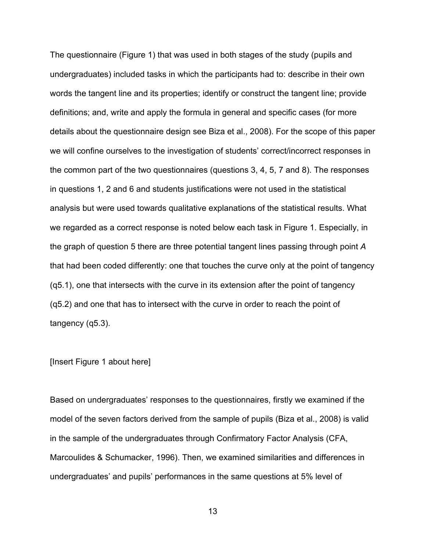The questionnaire (Figure 1) that was used in both stages of the study (pupils and undergraduates) included tasks in which the participants had to: describe in their own words the tangent line and its properties; identify or construct the tangent line; provide definitions; and, write and apply the formula in general and specific cases (for more details about the questionnaire design see Biza et al., 2008). For the scope of this paper we will confine ourselves to the investigation of students' correct/incorrect responses in the common part of the two questionnaires (questions 3, 4, 5, 7 and 8). The responses in questions 1, 2 and 6 and students justifications were not used in the statistical analysis but were used towards qualitative explanations of the statistical results. What we regarded as a correct response is noted below each task in Figure 1. Especially, in the graph of question 5 there are three potential tangent lines passing through point *A*  that had been coded differently: one that touches the curve only at the point of tangency (q5.1), one that intersects with the curve in its extension after the point of tangency (q5.2) and one that has to intersect with the curve in order to reach the point of tangency (q5.3).

#### [Insert Figure 1 about here]

Based on undergraduates' responses to the questionnaires, firstly we examined if the model of the seven factors derived from the sample of pupils (Biza et al., 2008) is valid in the sample of the undergraduates through Confirmatory Factor Analysis (CFA, Marcoulides & Schumacker, 1996). Then, we examined similarities and differences in undergraduates' and pupils' performances in the same questions at 5% level of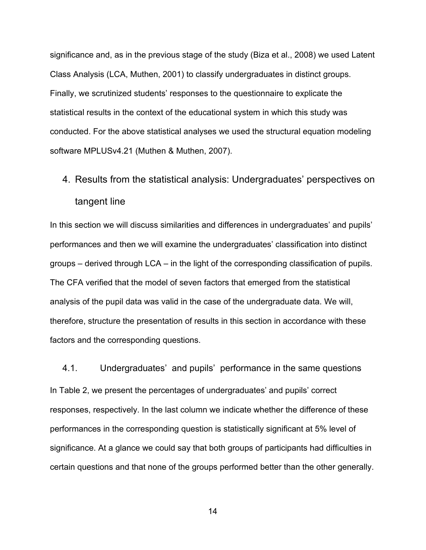significance and, as in the previous stage of the study (Biza et al., 2008) we used Latent Class Analysis (LCA, Muthen, 2001) to classify undergraduates in distinct groups. Finally, we scrutinized students' responses to the questionnaire to explicate the statistical results in the context of the educational system in which this study was conducted. For the above statistical analyses we used the structural equation modeling software MPLUSv4.21 (Muthen & Muthen, 2007).

# 4. Results from the statistical analysis: Undergraduates' perspectives on tangent line

In this section we will discuss similarities and differences in undergraduates' and pupils' performances and then we will examine the undergraduates' classification into distinct groups – derived through LCA – in the light of the corresponding classification of pupils. The CFA verified that the model of seven factors that emerged from the statistical analysis of the pupil data was valid in the case of the undergraduate data. We will, therefore, structure the presentation of results in this section in accordance with these factors and the corresponding questions.

4.1. Undergraduates' and pupils' performance in the same questions In Table 2, we present the percentages of undergraduates' and pupils' correct responses, respectively. In the last column we indicate whether the difference of these performances in the corresponding question is statistically significant at 5% level of significance. At a glance we could say that both groups of participants had difficulties in certain questions and that none of the groups performed better than the other generally.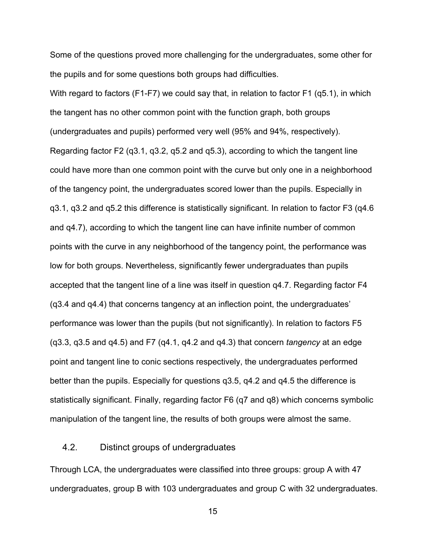Some of the questions proved more challenging for the undergraduates, some other for the pupils and for some questions both groups had difficulties.

With regard to factors (F1-F7) we could say that, in relation to factor F1 (q5.1), in which the tangent has no other common point with the function graph, both groups (undergraduates and pupils) performed very well (95% and 94%, respectively). Regarding factor F2 (q3.1, q3.2, q5.2 and q5.3), according to which the tangent line could have more than one common point with the curve but only one in a neighborhood of the tangency point, the undergraduates scored lower than the pupils. Especially in q3.1, q3.2 and q5.2 this difference is statistically significant. In relation to factor F3 (q4.6 and q4.7), according to which the tangent line can have infinite number of common points with the curve in any neighborhood of the tangency point, the performance was low for both groups. Nevertheless, significantly fewer undergraduates than pupils accepted that the tangent line of a line was itself in question q4.7. Regarding factor F4 (q3.4 and q4.4) that concerns tangency at an inflection point, the undergraduates' performance was lower than the pupils (but not significantly). In relation to factors F5 (q3.3, q3.5 and q4.5) and F7 (q4.1, q4.2 and q4.3) that concern *tangency* at an edge point and tangent line to conic sections respectively, the undergraduates performed better than the pupils. Especially for questions q3.5, q4.2 and q4.5 the difference is statistically significant. Finally, regarding factor F6 (q7 and q8) which concerns symbolic manipulation of the tangent line, the results of both groups were almost the same.

#### 4.2. Distinct groups of undergraduates

Through LCA, the undergraduates were classified into three groups: group A with 47 undergraduates, group B with 103 undergraduates and group C with 32 undergraduates.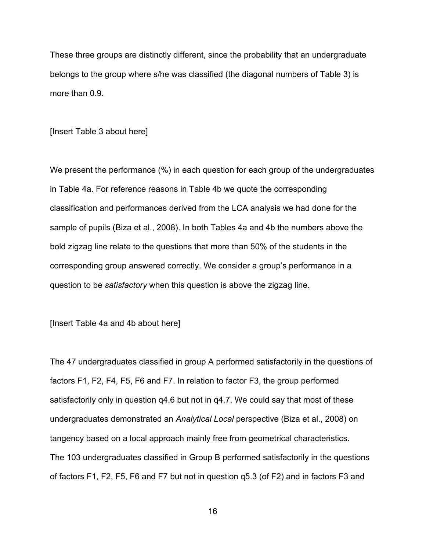These three groups are distinctly different, since the probability that an undergraduate belongs to the group where s/he was classified (the diagonal numbers of Table 3) is more than 0.9.

[Insert Table 3 about here]

We present the performance (%) in each question for each group of the undergraduates in Table 4a. For reference reasons in Table 4b we quote the corresponding classification and performances derived from the LCA analysis we had done for the sample of pupils (Biza et al., 2008). In both Tables 4a and 4b the numbers above the bold zigzag line relate to the questions that more than 50% of the students in the corresponding group answered correctly. We consider a group's performance in a question to be *satisfactory* when this question is above the zigzag line.

[Insert Table 4a and 4b about here]

The 47 undergraduates classified in group A performed satisfactorily in the questions of factors F1, F2, F4, F5, F6 and F7. In relation to factor F3, the group performed satisfactorily only in question q4.6 but not in q4.7. We could say that most of these undergraduates demonstrated an *Analytical Local* perspective (Biza et al., 2008) on tangency based on a local approach mainly free from geometrical characteristics. The 103 undergraduates classified in Group B performed satisfactorily in the questions of factors F1, F2, F5, F6 and F7 but not in question q5.3 (of F2) and in factors F3 and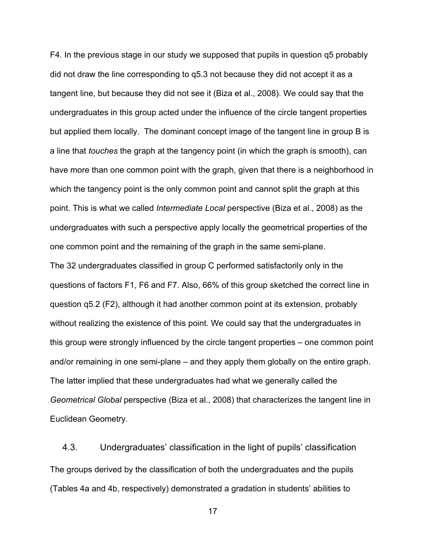F4. In the previous stage in our study we supposed that pupils in question q5 probably did not draw the line corresponding to q5.3 not because they did not accept it as a tangent line, but because they did not see it (Biza et al., 2008). We could say that the undergraduates in this group acted under the influence of the circle tangent properties but applied them locally. The dominant concept image of the tangent line in group B is a line that *touches* the graph at the tangency point (in which the graph is smooth), can have more than one common point with the graph, given that there is a neighborhood in which the tangency point is the only common point and cannot split the graph at this point. This is what we called *Intermediate Local* perspective (Biza et al., 2008) as the undergraduates with such a perspective apply locally the geometrical properties of the one common point and the remaining of the graph in the same semi-plane.

The 32 undergraduates classified in group C performed satisfactorily only in the questions of factors F1, F6 and F7. Also, 66% of this group sketched the correct line in question q5.2 (F2), although it had another common point at its extension, probably without realizing the existence of this point. We could say that the undergraduates in this group were strongly influenced by the circle tangent properties – one common point and/or remaining in one semi-plane – and they apply them globally on the entire graph. The latter implied that these undergraduates had what we generally called the *Geometrical Global* perspective (Biza et al., 2008) that characterizes the tangent line in Euclidean Geometry*.*

4.3. Undergraduates' classification in the light of pupils' classification The groups derived by the classification of both the undergraduates and the pupils (Tables 4a and 4b, respectively) demonstrated a gradation in students' abilities to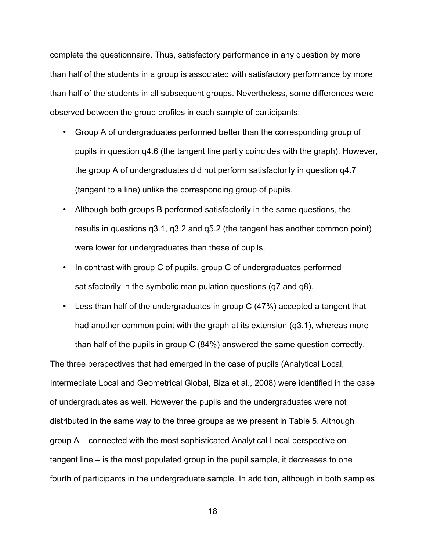complete the questionnaire. Thus, satisfactory performance in any question by more than half of the students in a group is associated with satisfactory performance by more than half of the students in all subsequent groups. Nevertheless, some differences were observed between the group profiles in each sample of participants:

- Group A of undergraduates performed better than the corresponding group of pupils in question q4.6 (the tangent line partly coincides with the graph). However, the group A of undergraduates did not perform satisfactorily in question q4.7 (tangent to a line) unlike the corresponding group of pupils.
- Although both groups B performed satisfactorily in the same questions, the results in questions q3.1, q3.2 and q5.2 (the tangent has another common point) were lower for undergraduates than these of pupils.
- In contrast with group C of pupils, group C of undergraduates performed satisfactorily in the symbolic manipulation questions (q7 and q8).
- Less than half of the undergraduates in group C (47%) accepted a tangent that had another common point with the graph at its extension (q3.1), whereas more than half of the pupils in group C (84%) answered the same question correctly.

The three perspectives that had emerged in the case of pupils (Analytical Local, Intermediate Local and Geometrical Global, Biza et al., 2008) were identified in the case of undergraduates as well. However the pupils and the undergraduates were not distributed in the same way to the three groups as we present in Table 5. Although group A – connected with the most sophisticated Analytical Local perspective on tangent line – is the most populated group in the pupil sample, it decreases to one fourth of participants in the undergraduate sample. In addition, although in both samples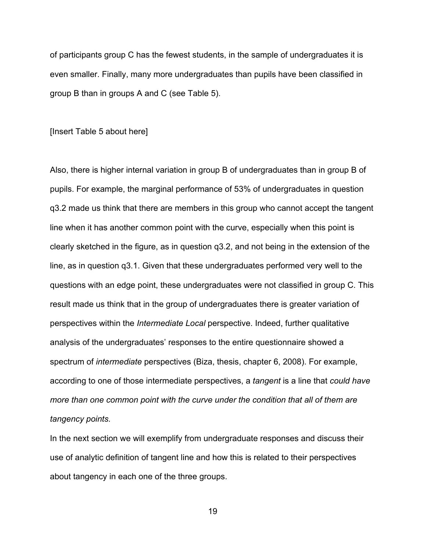of participants group C has the fewest students, in the sample of undergraduates it is even smaller. Finally, many more undergraduates than pupils have been classified in group B than in groups A and C (see Table 5).

[Insert Table 5 about here]

Also, there is higher internal variation in group B of undergraduates than in group B of pupils. For example, the marginal performance of 53% of undergraduates in question q3.2 made us think that there are members in this group who cannot accept the tangent line when it has another common point with the curve, especially when this point is clearly sketched in the figure, as in question q3.2, and not being in the extension of the line, as in question q3.1. Given that these undergraduates performed very well to the questions with an edge point, these undergraduates were not classified in group C. This result made us think that in the group of undergraduates there is greater variation of perspectives within the *Intermediate Local* perspective. Indeed, further qualitative analysis of the undergraduates' responses to the entire questionnaire showed a spectrum of *intermediate* perspectives (Biza, thesis, chapter 6, 2008). For example, according to one of those intermediate perspectives, a *tangent* is a line that *could have more than one common point with the curve under the condition that all of them are tangency points.*

In the next section we will exemplify from undergraduate responses and discuss their use of analytic definition of tangent line and how this is related to their perspectives about tangency in each one of the three groups.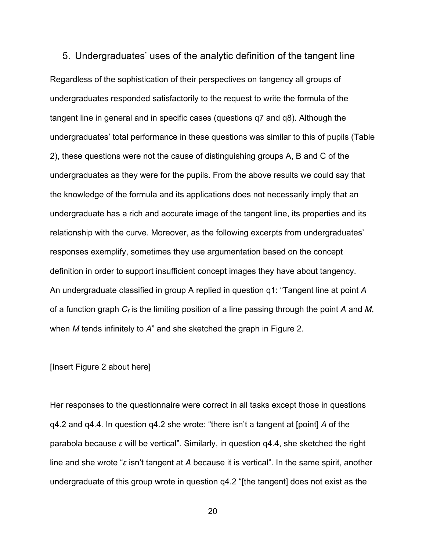5. Undergraduates' uses of the analytic definition of the tangent line Regardless of the sophistication of their perspectives on tangency all groups of undergraduates responded satisfactorily to the request to write the formula of the tangent line in general and in specific cases (questions q7 and q8). Although the undergraduates' total performance in these questions was similar to this of pupils (Table 2), these questions were not the cause of distinguishing groups A, B and C of the undergraduates as they were for the pupils. From the above results we could say that the knowledge of the formula and its applications does not necessarily imply that an undergraduate has a rich and accurate image of the tangent line, its properties and its relationship with the curve. Moreover, as the following excerpts from undergraduates' responses exemplify, sometimes they use argumentation based on the concept definition in order to support insufficient concept images they have about tangency. An undergraduate classified in group A replied in question q1: "Tangent line at point *A* of a function graph *Cf* is the limiting position of a line passing through the point *A* and *M*, when *M* tends infinitely to *A*" and she sketched the graph in Figure 2.

#### [Insert Figure 2 about here]

Her responses to the questionnaire were correct in all tasks except those in questions q4.2 and q4.4. In question q4.2 she wrote: "there isn't a tangent at [point] *A* of the parabola because *ε* will be vertical". Similarly, in question q4.4, she sketched the right line and she wrote "*ε* isn't tangent at *A* because it is vertical". In the same spirit, another undergraduate of this group wrote in question q4.2 "[the tangent] does not exist as the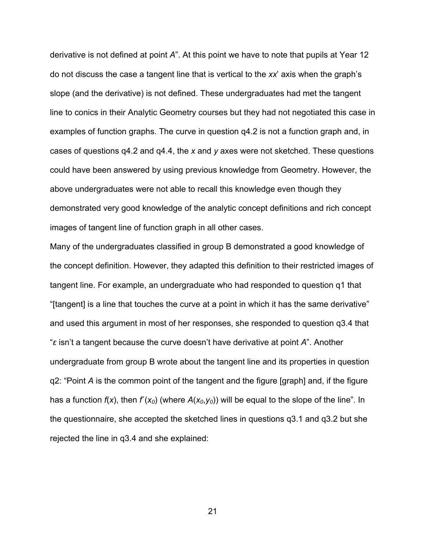derivative is not defined at point *A*". At this point we have to note that pupils at Year 12 do not discuss the case a tangent line that is vertical to the *xx*' axis when the graph's slope (and the derivative) is not defined. These undergraduates had met the tangent line to conics in their Analytic Geometry courses but they had not negotiated this case in examples of function graphs. The curve in question q4.2 is not a function graph and, in cases of questions q4.2 and q4.4, the *x* and *y* axes were not sketched. These questions could have been answered by using previous knowledge from Geometry. However, the above undergraduates were not able to recall this knowledge even though they demonstrated very good knowledge of the analytic concept definitions and rich concept images of tangent line of function graph in all other cases.

Many of the undergraduates classified in group B demonstrated a good knowledge of the concept definition. However, they adapted this definition to their restricted images of tangent line. For example, an undergraduate who had responded to question q1 that "[tangent] is a line that touches the curve at a point in which it has the same derivative" and used this argument in most of her responses, she responded to question q3.4 that "*ε* isn't a tangent because the curve doesn't have derivative at point *A*". Another undergraduate from group B wrote about the tangent line and its properties in question q2: "Point *A* is the common point of the tangent and the figure [graph] and, if the figure has a function *f*(*x*), then *f*΄(*x0*) (where *Α*(*x0*,*y0*)) will be equal to the slope of the line". In the questionnaire, she accepted the sketched lines in questions q3.1 and q3.2 but she rejected the line in q3.4 and she explained: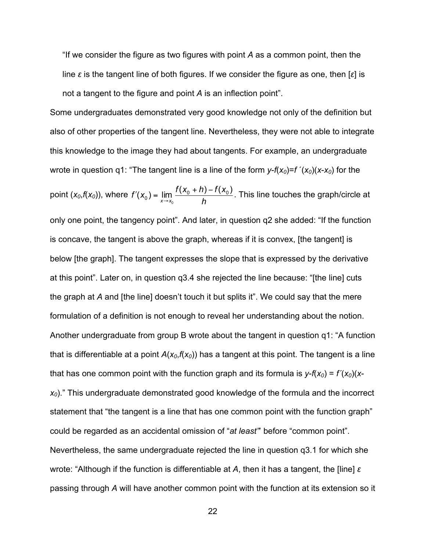"If we consider the figure as two figures with point *A* as a common point, then the line *ε* is the tangent line of both figures. If we consider the figure as one, then [*ε*] is not a tangent to the figure and point *A* is an inflection point".

Some undergraduates demonstrated very good knowledge not only of the definition but also of other properties of the tangent line. Nevertheless, they were not able to integrate this knowledge to the image they had about tangents. For example, an undergraduate wrote in question q1: "The tangent line is a line of the form  $y$ - $f(x_0) = f'(x_0)(x-x_0)$  for the point  $(x_0, f(x_0))$ , where  $f'(x_0) = \lim_{x \to x_0} \frac{f(x_0 + h) - f(x_0)}{h}$ . This line touches the graph/circle at only one point, the tangency point". And later, in question q2 she added: "If the function is concave, the tangent is above the graph, whereas if it is convex, [the tangent] is below [the graph]. The tangent expresses the slope that is expressed by the derivative at this point". Later on, in question q3.4 she rejected the line because: "[the line] cuts the graph at *A* and [the line] doesn't touch it but splits it". We could say that the mere formulation of a definition is not enough to reveal her understanding about the notion. Another undergraduate from group B wrote about the tangent in question q1: "A function that is differentiable at a point  $A(x_0, f(x_0))$  has a tangent at this point. The tangent is a line that has one common point with the function graph and its formula is  $y$ - $f(x_0) = f'(x_0)(x$ *x0*)." This undergraduate demonstrated good knowledge of the formula and the incorrect statement that "the tangent is a line that has one common point with the function graph" could be regarded as an accidental omission of "*at least"*' before "common point". Nevertheless, the same undergraduate rejected the line in question q3.1 for which she wrote: "Although if the function is differentiable at *A*, then it has a tangent, the [line] *ε* passing through *A* will have another common point with the function at its extension so it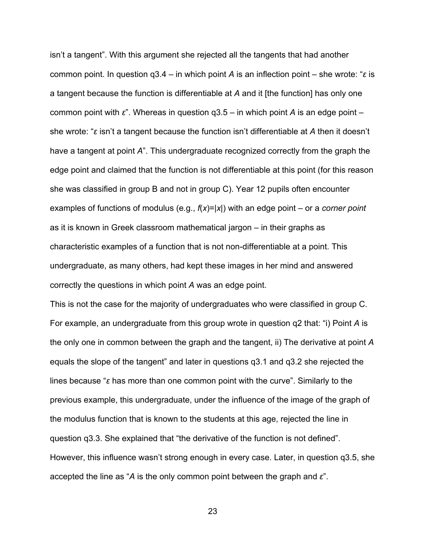isn't a tangent". With this argument she rejected all the tangents that had another common point. In question q3.4 – in which point *A* is an inflection point – she wrote: "*ε* is a tangent because the function is differentiable at *A* and it [the function] has only one common point with *ε*". Whereas in question q3.5 – in which point *A* is an edge point – she wrote: "*ε* isn't a tangent because the function isn't differentiable at *A* then it doesn't have a tangent at point *A*". This undergraduate recognized correctly from the graph the edge point and claimed that the function is not differentiable at this point (for this reason she was classified in group B and not in group C). Year 12 pupils often encounter examples of functions of modulus (e.g., *f*(*x*)=|*x*|) with an edge point – or a *corner point* as it is known in Greek classroom mathematical jargon – in their graphs as characteristic examples of a function that is not non-differentiable at a point. This undergraduate, as many others, had kept these images in her mind and answered correctly the questions in which point *A* was an edge point.

This is not the case for the majority of undergraduates who were classified in group C. For example, an undergraduate from this group wrote in question q2 that: "i) Point *A* is the only one in common between the graph and the tangent, ii) The derivative at point *A* equals the slope of the tangent" and later in questions q3.1 and q3.2 she rejected the lines because "*ε* has more than one common point with the curve". Similarly to the previous example, this undergraduate, under the influence of the image of the graph of the modulus function that is known to the students at this age, rejected the line in question q3.3. She explained that "the derivative of the function is not defined". However, this influence wasn't strong enough in every case. Later, in question q3.5, she accepted the line as "*A* is the only common point between the graph and *ε*".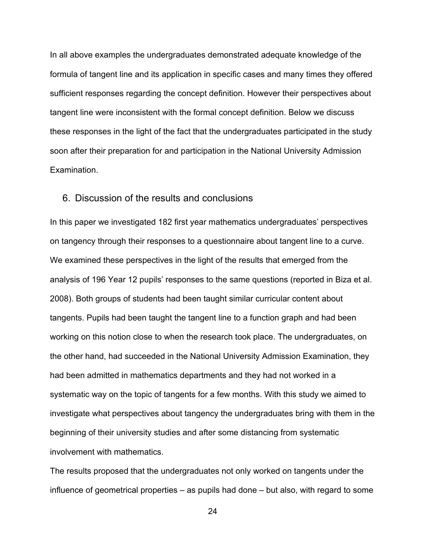In all above examples the undergraduates demonstrated adequate knowledge of the formula of tangent line and its application in specific cases and many times they offered sufficient responses regarding the concept definition. However their perspectives about tangent line were inconsistent with the formal concept definition. Below we discuss these responses in the light of the fact that the undergraduates participated in the study soon after their preparation for and participation in the National University Admission Examination.

#### 6. Discussion of the results and conclusions

In this paper we investigated 182 first year mathematics undergraduates' perspectives on tangency through their responses to a questionnaire about tangent line to a curve. We examined these perspectives in the light of the results that emerged from the analysis of 196 Year 12 pupils' responses to the same questions (reported in Biza et al. 2008). Both groups of students had been taught similar curricular content about tangents. Pupils had been taught the tangent line to a function graph and had been working on this notion close to when the research took place. The undergraduates, on the other hand, had succeeded in the National University Admission Examination, they had been admitted in mathematics departments and they had not worked in a systematic way on the topic of tangents for a few months. With this study we aimed to investigate what perspectives about tangency the undergraduates bring with them in the beginning of their university studies and after some distancing from systematic involvement with mathematics.

The results proposed that the undergraduates not only worked on tangents under the influence of geometrical properties – as pupils had done – but also, with regard to some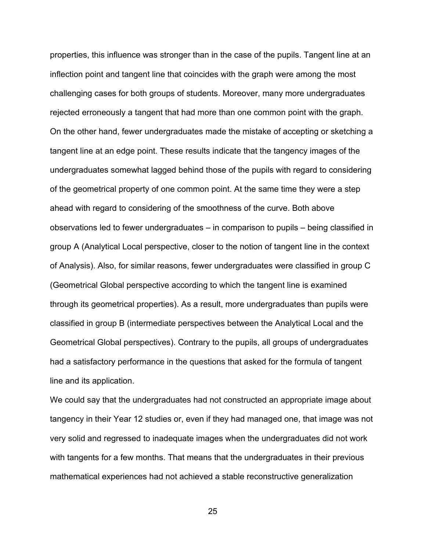properties, this influence was stronger than in the case of the pupils. Tangent line at an inflection point and tangent line that coincides with the graph were among the most challenging cases for both groups of students. Moreover, many more undergraduates rejected erroneously a tangent that had more than one common point with the graph. On the other hand, fewer undergraduates made the mistake of accepting or sketching a tangent line at an edge point. These results indicate that the tangency images of the undergraduates somewhat lagged behind those of the pupils with regard to considering of the geometrical property of one common point. At the same time they were a step ahead with regard to considering of the smoothness of the curve. Both above observations led to fewer undergraduates – in comparison to pupils – being classified in group A (Analytical Local perspective, closer to the notion of tangent line in the context of Analysis). Also, for similar reasons, fewer undergraduates were classified in group C (Geometrical Global perspective according to which the tangent line is examined through its geometrical properties). As a result, more undergraduates than pupils were classified in group B (intermediate perspectives between the Analytical Local and the Geometrical Global perspectives). Contrary to the pupils, all groups of undergraduates had a satisfactory performance in the questions that asked for the formula of tangent line and its application.

We could say that the undergraduates had not constructed an appropriate image about tangency in their Year 12 studies or, even if they had managed one, that image was not very solid and regressed to inadequate images when the undergraduates did not work with tangents for a few months. That means that the undergraduates in their previous mathematical experiences had not achieved a stable reconstructive generalization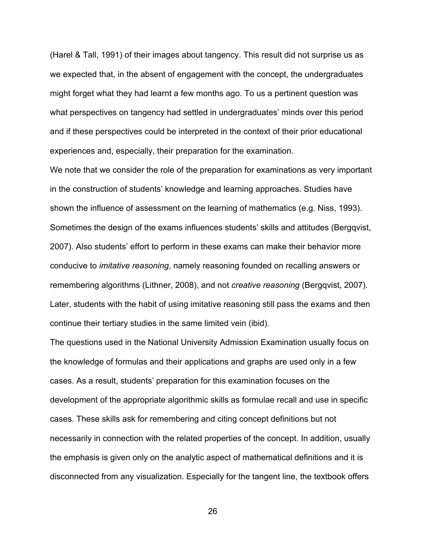(Harel & Tall, 1991) of their images about tangency. This result did not surprise us as we expected that, in the absent of engagement with the concept, the undergraduates might forget what they had learnt a few months ago. To us a pertinent question was what perspectives on tangency had settled in undergraduates' minds over this period and if these perspectives could be interpreted in the context of their prior educational experiences and, especially, their preparation for the examination.

We note that we consider the role of the preparation for examinations as very important in the construction of students' knowledge and learning approaches. Studies have shown the influence of assessment on the learning of mathematics (e.g. Niss, 1993). Sometimes the design of the exams influences students' skills and attitudes (Bergqvist, 2007). Also students' effort to perform in these exams can make their behavior more conducive to *imitative reasoning*, namely reasoning founded on recalling answers or remembering algorithms (Lithner, 2008), and not *creative reasoning* (Bergqvist, 2007). Later, students with the habit of using imitative reasoning still pass the exams and then continue their tertiary studies in the same limited vein (ibid).

The questions used in the National University Admission Examination usually focus on the knowledge of formulas and their applications and graphs are used only in a few cases. As a result, students' preparation for this examination focuses on the development of the appropriate algorithmic skills as formulae recall and use in specific cases. These skills ask for remembering and citing concept definitions but not necessarily in connection with the related properties of the concept. In addition, usually the emphasis is given only on the analytic aspect of mathematical definitions and it is disconnected from any visualization. Especially for the tangent line, the textbook offers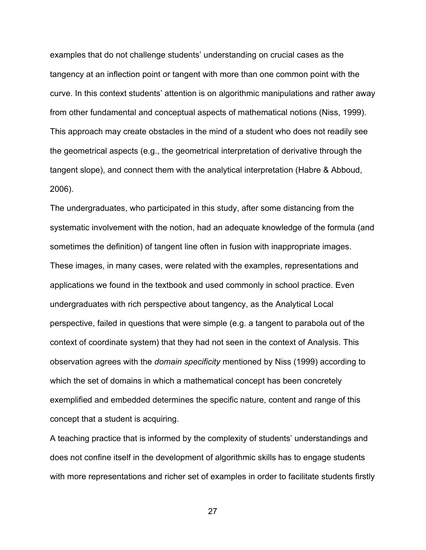examples that do not challenge students' understanding on crucial cases as the tangency at an inflection point or tangent with more than one common point with the curve. In this context students' attention is on algorithmic manipulations and rather away from other fundamental and conceptual aspects of mathematical notions (Niss, 1999). This approach may create obstacles in the mind of a student who does not readily see the geometrical aspects (e.g., the geometrical interpretation of derivative through the tangent slope), and connect them with the analytical interpretation (Habre & Abboud, 2006).

The undergraduates, who participated in this study, after some distancing from the systematic involvement with the notion, had an adequate knowledge of the formula (and sometimes the definition) of tangent line often in fusion with inappropriate images. These images, in many cases, were related with the examples, representations and applications we found in the textbook and used commonly in school practice. Even undergraduates with rich perspective about tangency, as the Analytical Local perspective, failed in questions that were simple (e.g. a tangent to parabola out of the context of coordinate system) that they had not seen in the context of Analysis. This observation agrees with the *domain specificity* mentioned by Niss (1999) according to which the set of domains in which a mathematical concept has been concretely exemplified and embedded determines the specific nature, content and range of this concept that a student is acquiring.

A teaching practice that is informed by the complexity of students' understandings and does not confine itself in the development of algorithmic skills has to engage students with more representations and richer set of examples in order to facilitate students firstly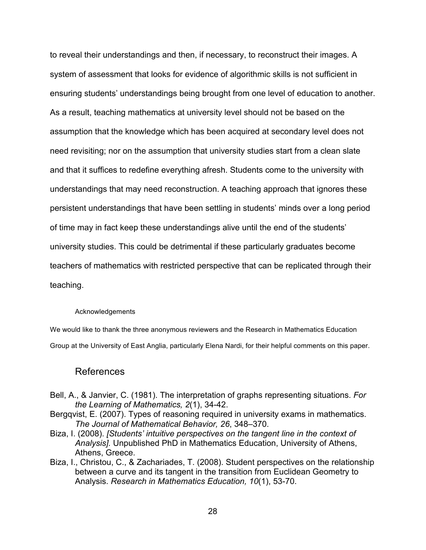to reveal their understandings and then, if necessary, to reconstruct their images. A system of assessment that looks for evidence of algorithmic skills is not sufficient in ensuring students' understandings being brought from one level of education to another. As a result, teaching mathematics at university level should not be based on the assumption that the knowledge which has been acquired at secondary level does not need revisiting; nor on the assumption that university studies start from a clean slate and that it suffices to redefine everything afresh. Students come to the university with understandings that may need reconstruction. A teaching approach that ignores these persistent understandings that have been settling in students' minds over a long period of time may in fact keep these understandings alive until the end of the students' university studies. This could be detrimental if these particularly graduates become teachers of mathematics with restricted perspective that can be replicated through their teaching.

#### Acknowledgements

We would like to thank the three anonymous reviewers and the Research in Mathematics Education Group at the University of East Anglia, particularly Elena Nardi, for their helpful comments on this paper.

#### References

- Bell, A., & Janvier, C. (1981). The interpretation of graphs representing situations. *For the Learning of Mathematics, 2*(1), 34-42.
- Bergqvist, E. (2007). Types of reasoning required in university exams in mathematics. *The Journal of Mathematical Behavior, 26*, 348–370.
- Biza, I. (2008). *[Students' intuitive perspectives on the tangent line in the context of Analysis].* Unpublished PhD in Mathematics Education, University of Athens, Athens, Greece.
- Biza, I., Christou, C., & Zachariades, T. (2008). Student perspectives on the relationship between a curve and its tangent in the transition from Euclidean Geometry to Analysis. *Research in Mathematics Education, 10*(1), 53-70.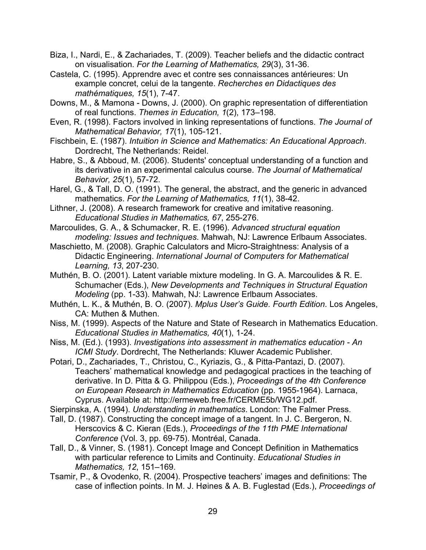- Biza, I., Nardi, E., & Zachariades, T. (2009). Teacher beliefs and the didactic contract on visualisation. *For the Learning of Mathematics, 29*(3), 31-36.
- Castela, C. (1995). Apprendre avec et contre ses connaissances antérieures: Un example concret, celui de la tangente. *Recherches en Didactiques des mathématiques, 15*(1), 7-47.
- Downs, M., & Mamona Downs, J. (2000). On graphic representation of differentiation of real functions. *Themes in Education, 1*(2), 173–198.
- Even, R. (1998). Factors involved in linking representations of functions. *The Journal of Mathematical Behavior, 17*(1), 105-121.
- Fischbein, Ε. (1987). *Intuition in Science and Mathematics: An Educational Approach*. Dordrecht, The Netherlands: Reidel.
- Habre, S., & Abboud, M. (2006). Students' conceptual understanding of a function and its derivative in an experimental calculus course. *The Journal of Mathematical Behavior, 25*(1), 57-72.
- Harel, G., & Tall, D. O. (1991). The general, the abstract, and the generic in advanced mathematics. *For the Learning of Mathematics, 11*(1), 38-42.
- Lithner, J. (2008). A research framework for creative and imitative reasoning. *Educational Studies in Mathematics, 67*, 255-276.
- Marcoulides, G. A., & Schumacker, R. E. (1996). *Advanced structural equation modeling: Issues and techniques*. Mahwah, NJ: Lawrence Erlbaum Associates.
- Maschietto, M. (2008). Graphic Calculators and Micro-Straightness: Analysis of a Didactic Engineering. *International Journal of Computers for Mathematical Learning, 13*, 207-230.
- Muthén, B. O. (2001). Latent variable mixture modeling. In G. A. Marcoulides & R. E. Schumacher (Eds.), *New Developments and Techniques in Structural Equation Modeling* (pp. 1-33). Mahwah, NJ: Lawrence Erlbaum Associates.
- Muthén, L. K., & Muthén, B. O. (2007). *Mplus User's Guide. Fourth Edition*. Los Angeles, CA: Muthen & Muthen.
- Niss, M. (1999). Aspects of the Nature and State of Research in Mathematics Education. *Educational Studies in Mathematics, 40*(1), 1-24.
- Niss, M. (Ed.). (1993). *Investigations into assessment in mathematics education - An ICMI Study*. Dordrecht, The Netherlands: Kluwer Academic Publisher.
- Potari, D., Zachariades, T., Christou, C., Kyriazis, G., & Pitta-Pantazi, D. (2007). Teachers' mathematical knowledge and pedagogical practices in the teaching of derivative. In D. Pitta & G. Philippou (Eds.), *Proceedings of the 4th Conference on European Research in Mathematics Education* (pp. 1955-1964). Larnaca, Cyprus. Available at: http://ermeweb.free.fr/CERME5b/WG12.pdf.
- Sierpinska, A. (1994). *Understanding in mathematics*. London: The Falmer Press.
- Tall, D. (1987). Constructing the concept image of a tangent. In J. C. Bergeron, N. Herscovics & C. Kieran (Eds.), *Proceedings of the 11th PME International Conference* (Vol. 3, pp. 69-75). Montréal, Canada.
- Tall, D., & Vinner, S. (1981). Concept Image and Concept Definition in Mathematics with particular reference to Limits and Continuity. *Educational Studies in Mathematics, 12*, 151–169.
- Tsamir, P., & Ovodenko, R. (2004). Prospective teachers' images and definitions: The case of inflection points. In M. J. Høines & A. B. Fuglestad (Eds.), *Proceedings of*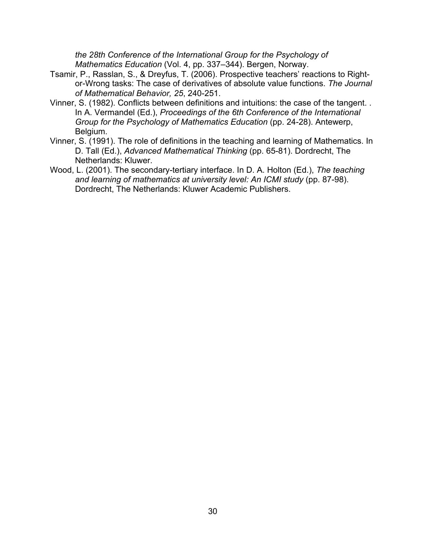*the 28th Conference of the International Group for the Psychology of Mathematics Education* (Vol. 4, pp. 337–344). Bergen, Norway.

- Tsamir, P., Rasslan, S., & Dreyfus, T. (2006). Prospective teachers' reactions to Rightor-Wrong tasks: The case of derivatives of absolute value functions. *The Journal of Mathematical Behavior, 25*, 240-251.
- Vinner, S. (1982). Conflicts between definitions and intuitions: the case of the tangent. . In A. Vermandel (Ed.), *Proceedings of the 6th Conference of the International Group for the Psychology of Mathematics Education* (pp. 24-28). Antewerp, Belgium.
- Vinner, S. (1991). The role of definitions in the teaching and learning of Mathematics. In D. Tall (Ed.), *Advanced Mathematical Thinking* (pp. 65-81). Dordrecht, The Netherlands: Kluwer.
- Wood, L. (2001). The secondary-tertiary interface. In D. A. Holton (Ed.), *The teaching and learning of mathematics at university level: An ICMI study* (pp. 87-98). Dordrecht, The Netherlands: Kluwer Academic Publishers.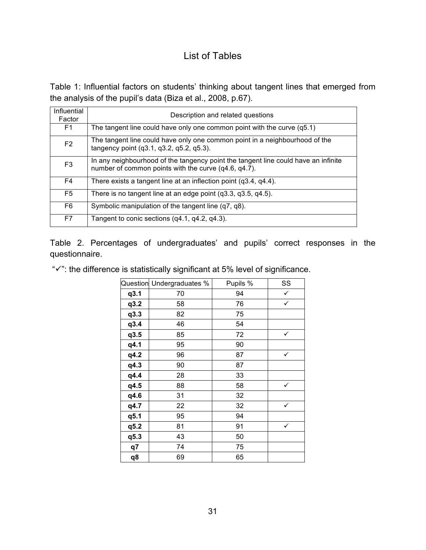## List of Tables

Table 1: Influential factors on students' thinking about tangent lines that emerged from the analysis of the pupil's data (Biza et al., 2008, p.67).

| Influential<br>Factor | Description and related questions                                                                                                          |
|-----------------------|--------------------------------------------------------------------------------------------------------------------------------------------|
| F1                    | The tangent line could have only one common point with the curve (q5.1)                                                                    |
| F <sub>2</sub>        | The tangent line could have only one common point in a neighbourhood of the<br>tangency point (q3.1, q3.2, q5.2, q5.3).                    |
| F <sub>3</sub>        | In any neighbourhood of the tangency point the tangent line could have an infinite<br>number of common points with the curve (q4.6, q4.7). |
| F4                    | There exists a tangent line at an inflection point $(q3.4, q4.4)$ .                                                                        |
| F <sub>5</sub>        | There is no tangent line at an edge point $(q3.3, q3.5, q4.5)$ .                                                                           |
| F6                    | Symbolic manipulation of the tangent line (q7, q8).                                                                                        |
| F7                    | Tangent to conic sections (q4.1, q4.2, q4.3).                                                                                              |

Table 2. Percentages of undergraduates' and pupils' correct responses in the questionnaire.

" $\checkmark$ ": the difference is statistically significant at 5% level of significance.

|      | Question Undergraduates % | Pupils % | SS           |
|------|---------------------------|----------|--------------|
| q3.1 | 70                        | 94       | $\checkmark$ |
| q3.2 | 58                        | 76       | $\checkmark$ |
| q3.3 | 82                        | 75       |              |
| q3.4 | 46                        | 54       |              |
| q3.5 | 85                        | 72       | ✓            |
| q4.1 | 95                        | 90       |              |
| q4.2 | 96                        | 87       | ✓            |
| q4.3 | 90                        | 87       |              |
| q4.4 | 28                        | 33       |              |
| q4.5 | 88                        | 58       |              |
| q4.6 | 31                        | 32       |              |
| q4.7 | 22                        | 32       | ✓            |
| q5.1 | 95                        | 94       |              |
| q5.2 | 81                        | 91       | $\checkmark$ |
| q5.3 | 43                        | 50       |              |
| q7   | 74                        | 75       |              |
| q8   | 69                        | 65       |              |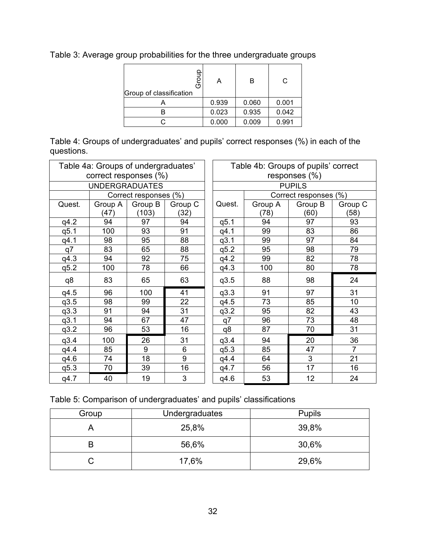Table 3: Average group probabilities for the three undergraduate groups

| Group of classification | A     | R     | C     |
|-------------------------|-------|-------|-------|
|                         | 0.939 | 0.060 | 0.001 |
|                         | 0.023 | 0.935 | 0.042 |
|                         | 0.000 | 0.009 | 0.991 |

Table 4: Groups of undergraduates' and pupils' correct responses (%) in each of the questions.

| Table 4a: Groups of undergraduates' |                       |                       | Table 4b: Groups of pupils' correct |                  |               |                       |                |  |
|-------------------------------------|-----------------------|-----------------------|-------------------------------------|------------------|---------------|-----------------------|----------------|--|
| correct responses (%)               |                       |                       |                                     | responses $(\%)$ |               |                       |                |  |
|                                     | <b>UNDERGRADUATES</b> |                       |                                     |                  | <b>PUPILS</b> |                       |                |  |
|                                     |                       | Correct responses (%) |                                     |                  |               | Correct responses (%) |                |  |
| Quest.                              | Group A               | Group B               | Group C                             | Quest.           | Group A       | Group B               | Group C        |  |
|                                     | (47)                  | (103)                 | (32)                                |                  | (78)          | (60)                  | (58)           |  |
| q4.2                                | 94                    | 97                    | 94                                  | q5.1             | 94            | 97                    | 93             |  |
| q5.1                                | 100                   | 93                    | 91                                  | q4.1             | 99            | 83                    | 86             |  |
| q4.1                                | 98                    | 95                    | 88                                  | q3.1             | 99            | 97                    | 84             |  |
| q7                                  | 83                    | 65                    | 88                                  | q5.2             | 95            | 98                    | 79             |  |
| q4.3                                | 94                    | 92                    | 75                                  | q4.2             | 99            | 82                    | 78             |  |
| q5.2                                | 100                   | 78                    | 66                                  | q4.3             | 100           | 80                    | 78             |  |
| q8                                  | 83                    | 65                    | 63                                  | q3.5             | 88            | 98                    | 24             |  |
| q4.5                                | 96                    | 100                   | 41                                  | q3.3             | 91            | 97                    | 31             |  |
| q3.5                                | 98                    | 99                    | 22                                  | q4.5             | 73            | 85                    | 10             |  |
| q3.3                                | 91                    | 94                    | 31                                  | q3.2             | 95            | 82                    | 43             |  |
| q3.1                                | 94                    | 67                    | 47                                  | q7               | 96            | 73                    | 48             |  |
| q3.2                                | 96                    | 53                    | 16                                  | q8               | 87            | 70                    | 31             |  |
| q3.4                                | 100                   | 26                    | 31                                  | q3.4             | 94            | 20                    | 36             |  |
| q4.4                                | 85                    | 9                     | 6                                   | q5.3             | 85            | 47                    | $\overline{7}$ |  |
| q4.6                                | 74                    | 18                    | 9                                   | q4.4             | 64            | 3                     | 21             |  |
| q5.3                                | 70                    | 39                    | 16                                  | q4.7             | 56            | 17                    | 16             |  |
| q4.7                                | 40                    | 19                    | 3                                   | q4.6             | 53            | 12                    | 24             |  |

|  | Table 5: Comparison of undergraduates' and pupils' classifications |  |
|--|--------------------------------------------------------------------|--|
|  |                                                                    |  |

| Group | Undergraduates | <b>Pupils</b> |
|-------|----------------|---------------|
|       | 25,8%          | 39,8%         |
|       | 56,6%          | 30,6%         |
| С     | 17,6%          | 29,6%         |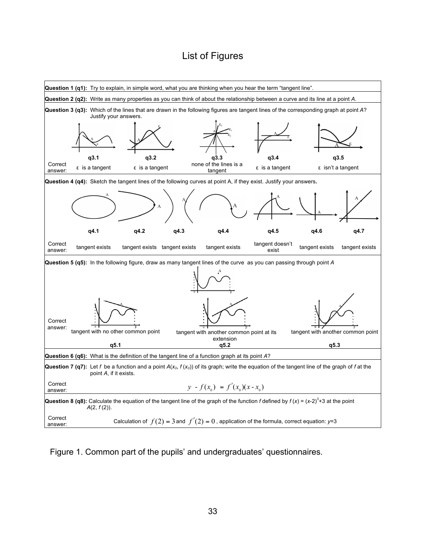## List of Figures



Figure 1. Common part of the pupils' and undergraduates' questionnaires.